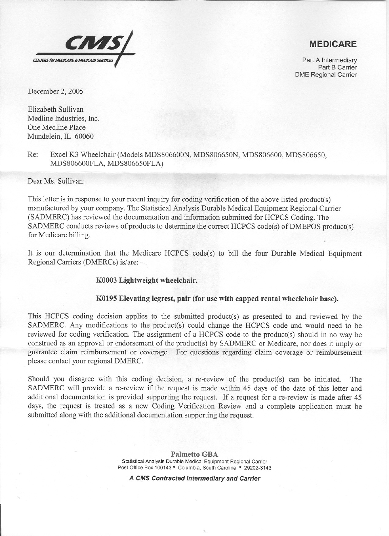

## **MEDICARE**

Part A Intermediary Part B Carrier DME Regional Carrier

December 2, 2005

Elizabeth Sullivan Medline Industries, Inc. One Medline Place Mundelein, IL 60060

Re: Excel K3 Wheelchair (Models MDS806600N, MDS806650N, MDS806600, MDS806650, MDS806600FLA, MDS806650FLA)

Dear Ms. Sullivan:

'"

This letter is in response to your recent inquiry for coding verification of the above listed product(s) manufactured by your company. The Statistical Analysis Durable Medical Equipment Regional Carrier (SADMERC) has reviewed the documentation and information submitted for HCPCS Coding. The SADMERC conducts reviews of products to determine the correct HCPCS code(s) of DMEPOS product(s) for Medicare billing.

It is our determination that the Medicare HCPCS code(s) to bill the four Durable Medical Equipment Regional Carriers (DMERCs) is/are:

## K0003 Lightweight wheelchair.

## K0195 Elevating legrest, pair (for use with capped rental wheelchair base).

This HCPCS coding decision applies to the submitted product(s) as presented to and reviewed by the SADMERC. Any modifications to the product(s) could change the HCPCS code and would need to be reviewed for coding verification. The assignment of a HCPCS code to the product(s) should in no way be construed as an approval or endorsement of the product(s) by SADMERC or Medicare, nor does it imply or guarantee claim reimbursement or coverage. For questions regarding claim coverage or reimbursement please contact your regional DMERC.

Should you disagree with this coding decision, a re-review of the product(s) can be initiated. The SADMERC will provide a re-review if the request is made within 45 days of the date of this letter and additional documentation is provided supporting the request. If a request for a re-review is made after 45 days, the request is treated as a new Coding Verification Review and a complete application must be submitted along with the additional documentation supporting the request.

> Palmetto GBA Statistical Analysis Durable Medical Equipment Regional Carrier Post Office Box 100143 · Columbia, South Carolina · 29202-3143

*A CMS Contracted Intermediary and Carrier*